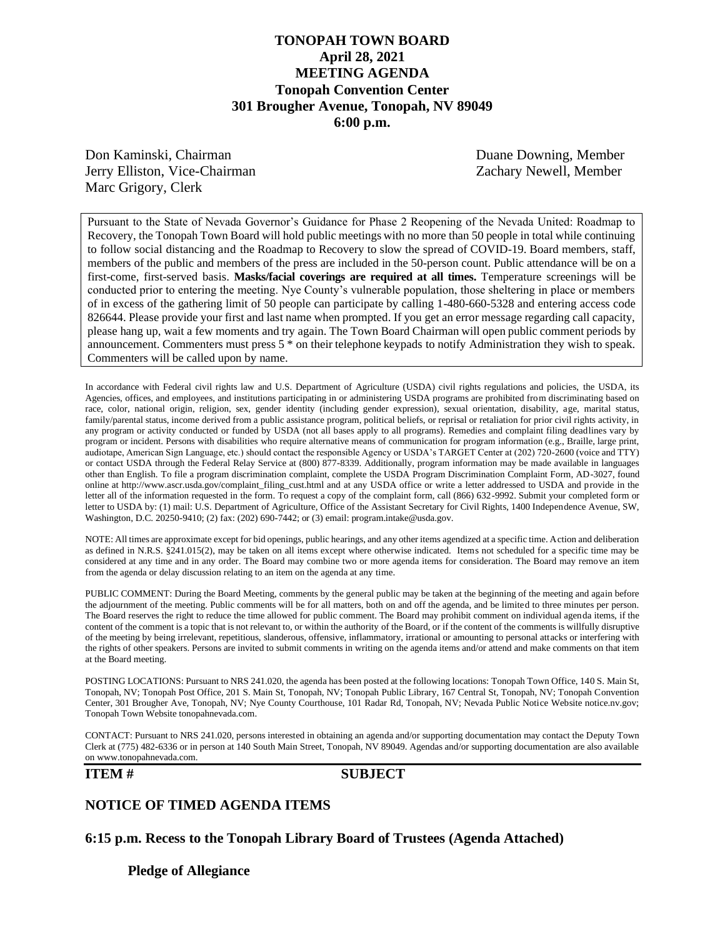# **TONOPAH TOWN BOARD April 28, 2021 MEETING AGENDA Tonopah Convention Center 301 Brougher Avenue, Tonopah, NV 89049 6:00 p.m.**

Don Kaminski, Chairman Duane Downing, Member Jerry Elliston, Vice-Chairman Zachary Newell, Member Marc Grigory, Clerk

Pursuant to the State of Nevada Governor's Guidance for Phase 2 Reopening of the Nevada United: Roadmap to Recovery, the Tonopah Town Board will hold public meetings with no more than 50 people in total while continuing to follow social distancing and the Roadmap to Recovery to slow the spread of COVID-19. Board members, staff, members of the public and members of the press are included in the 50-person count. Public attendance will be on a first-come, first-served basis. **Masks/facial coverings are required at all times.** Temperature screenings will be conducted prior to entering the meeting. Nye County's vulnerable population, those sheltering in place or members of in excess of the gathering limit of 50 people can participate by calling 1-480-660-5328 and entering access code 826644. Please provide your first and last name when prompted. If you get an error message regarding call capacity, please hang up, wait a few moments and try again. The Town Board Chairman will open public comment periods by announcement. Commenters must press 5 \* on their telephone keypads to notify Administration they wish to speak. Commenters will be called upon by name.

In accordance with Federal civil rights law and U.S. Department of Agriculture (USDA) civil rights regulations and policies, the USDA, its Agencies, offices, and employees, and institutions participating in or administering USDA programs are prohibited from discriminating based on race, color, national origin, religion, sex, gender identity (including gender expression), sexual orientation, disability, age, marital status, family/parental status, income derived from a public assistance program, political beliefs, or reprisal or retaliation for prior civil rights activity, in any program or activity conducted or funded by USDA (not all bases apply to all programs). Remedies and complaint filing deadlines vary by program or incident. Persons with disabilities who require alternative means of communication for program information (e.g., Braille, large print, audiotape, American Sign Language, etc.) should contact the responsible Agency or USDA's TARGET Center at (202) 720-2600 (voice and TTY) or contact USDA through the Federal Relay Service at (800) 877-8339. Additionally, program information may be made available in languages other than English. To file a program discrimination complaint, complete the USDA Program Discrimination Complaint Form, AD-3027, found online at http://www.ascr.usda.gov/complaint\_filing\_cust.html and at any USDA office or write a letter addressed to USDA and provide in the letter all of the information requested in the form. To request a copy of the complaint form, call (866) 632-9992. Submit your completed form or letter to USDA by: (1) mail: U.S. Department of Agriculture, Office of the Assistant Secretary for Civil Rights, 1400 Independence Avenue, SW, Washington, D.C. 20250-9410; (2) fax: (202) 690-7442; or (3) email: program.intake@usda.gov.

NOTE: All times are approximate except for bid openings, public hearings, and any other items agendized at a specific time. Action and deliberation as defined in N.R.S. §241.015(2), may be taken on all items except where otherwise indicated. Items not scheduled for a specific time may be considered at any time and in any order. The Board may combine two or more agenda items for consideration. The Board may remove an item from the agenda or delay discussion relating to an item on the agenda at any time.

PUBLIC COMMENT: During the Board Meeting, comments by the general public may be taken at the beginning of the meeting and again before the adjournment of the meeting. Public comments will be for all matters, both on and off the agenda, and be limited to three minutes per person. The Board reserves the right to reduce the time allowed for public comment. The Board may prohibit comment on individual agenda items, if the content of the comment is a topic that is not relevant to, or within the authority of the Board, or if the content of the comments is willfully disruptive of the meeting by being irrelevant, repetitious, slanderous, offensive, inflammatory, irrational or amounting to personal attacks or interfering with the rights of other speakers. Persons are invited to submit comments in writing on the agenda items and/or attend and make comments on that item at the Board meeting.

POSTING LOCATIONS: Pursuant to NRS 241.020, the agenda has been posted at the following locations: Tonopah Town Office, 140 S. Main St, Tonopah, NV; Tonopah Post Office, 201 S. Main St, Tonopah, NV; Tonopah Public Library, 167 Central St, Tonopah, NV; Tonopah Convention Center, 301 Brougher Ave, Tonopah, NV; Nye County Courthouse, 101 Radar Rd, Tonopah, NV; Nevada Public Notice Website notice.nv.gov; Tonopah Town Website tonopahnevada.com.

CONTACT: Pursuant to NRS 241.020, persons interested in obtaining an agenda and/or supporting documentation may contact the Deputy Town Clerk at (775) 482-6336 or in person at 140 South Main Street, Tonopah, NV 89049. Agendas and/or supporting documentation are also available on www.tonopahnevada.com.

### **ITEM # SUBJECT**

## **NOTICE OF TIMED AGENDA ITEMS**

**6:15 p.m. Recess to the Tonopah Library Board of Trustees (Agenda Attached)**

**Pledge of Allegiance**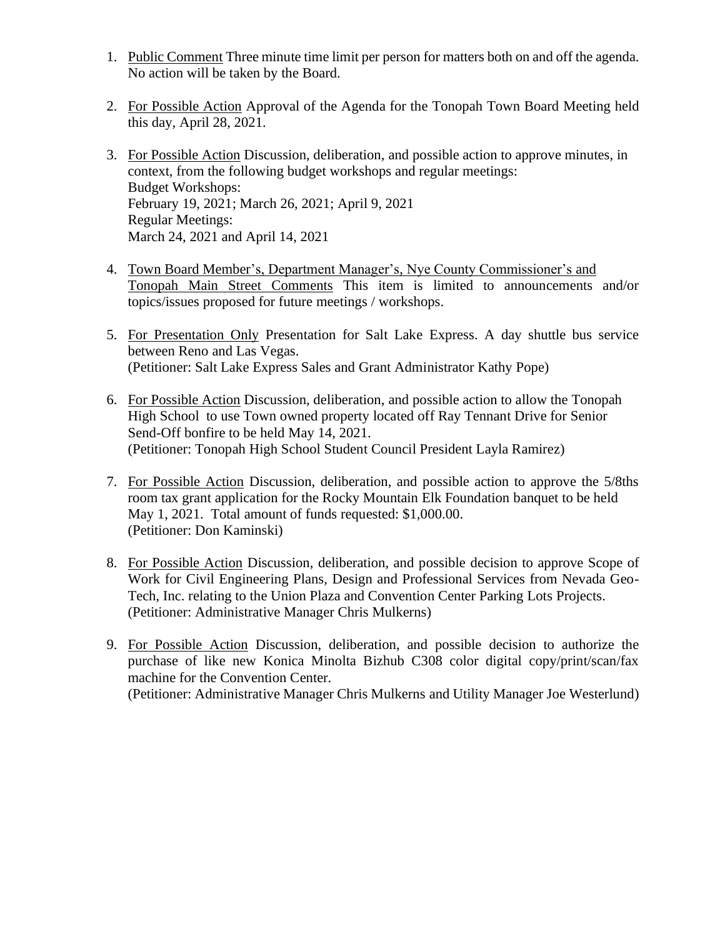- 1. Public Comment Three minute time limit per person for matters both on and off the agenda. No action will be taken by the Board.
- 2. For Possible Action Approval of the Agenda for the Tonopah Town Board Meeting held this day, April 28, 2021.
- 3. For Possible Action Discussion, deliberation, and possible action to approve minutes, in context, from the following budget workshops and regular meetings: Budget Workshops: February 19, 2021; March 26, 2021; April 9, 2021 Regular Meetings: March 24, 2021 and April 14, 2021
- 4. Town Board Member's, Department Manager's, Nye County Commissioner's and Tonopah Main Street Comments This item is limited to announcements and/or topics/issues proposed for future meetings / workshops.
- 5. For Presentation Only Presentation for Salt Lake Express. A day shuttle bus service between Reno and Las Vegas. (Petitioner: Salt Lake Express Sales and Grant Administrator Kathy Pope)
- 6. For Possible Action Discussion, deliberation, and possible action to allow the Tonopah High School to use Town owned property located off Ray Tennant Drive for Senior Send-Off bonfire to be held May 14, 2021. (Petitioner: Tonopah High School Student Council President Layla Ramirez)
- 7. For Possible Action Discussion, deliberation, and possible action to approve the 5/8ths room tax grant application for the Rocky Mountain Elk Foundation banquet to be held May 1, 2021. Total amount of funds requested: \$1,000.00. (Petitioner: Don Kaminski)
- 8. For Possible Action Discussion, deliberation, and possible decision to approve Scope of Work for Civil Engineering Plans, Design and Professional Services from Nevada Geo-Tech, Inc. relating to the Union Plaza and Convention Center Parking Lots Projects. (Petitioner: Administrative Manager Chris Mulkerns)
- 9. For Possible Action Discussion, deliberation, and possible decision to authorize the purchase of like new Konica Minolta Bizhub C308 color digital copy/print/scan/fax machine for the Convention Center. (Petitioner: Administrative Manager Chris Mulkerns and Utility Manager Joe Westerlund)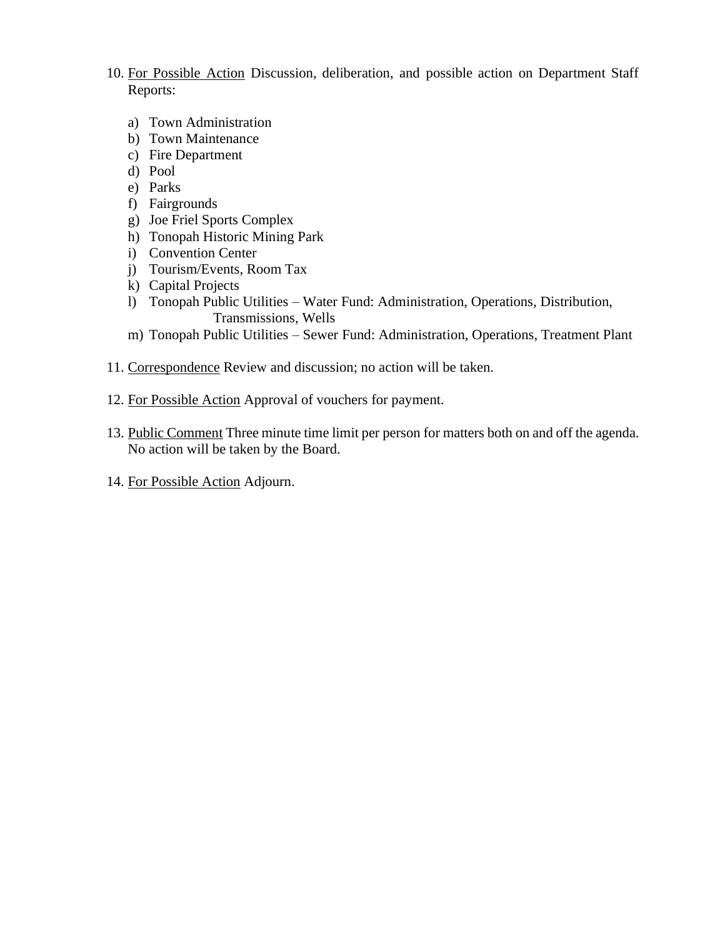- 10. For Possible Action Discussion, deliberation, and possible action on Department Staff Reports:
	- a) Town Administration
	- b) Town Maintenance
	- c) Fire Department
	- d) Pool
	- e) Parks
	- f) Fairgrounds
	- g) Joe Friel Sports Complex
	- h) Tonopah Historic Mining Park
	- i) Convention Center
	- j) Tourism/Events, Room Tax
	- k) Capital Projects
	- l) Tonopah Public Utilities Water Fund: Administration, Operations, Distribution, Transmissions, Wells
	- m) Tonopah Public Utilities Sewer Fund: Administration, Operations, Treatment Plant
- 11. Correspondence Review and discussion; no action will be taken.
- 12. For Possible Action Approval of vouchers for payment.
- 13. Public Comment Three minute time limit per person for matters both on and off the agenda. No action will be taken by the Board.
- 14. For Possible Action Adjourn.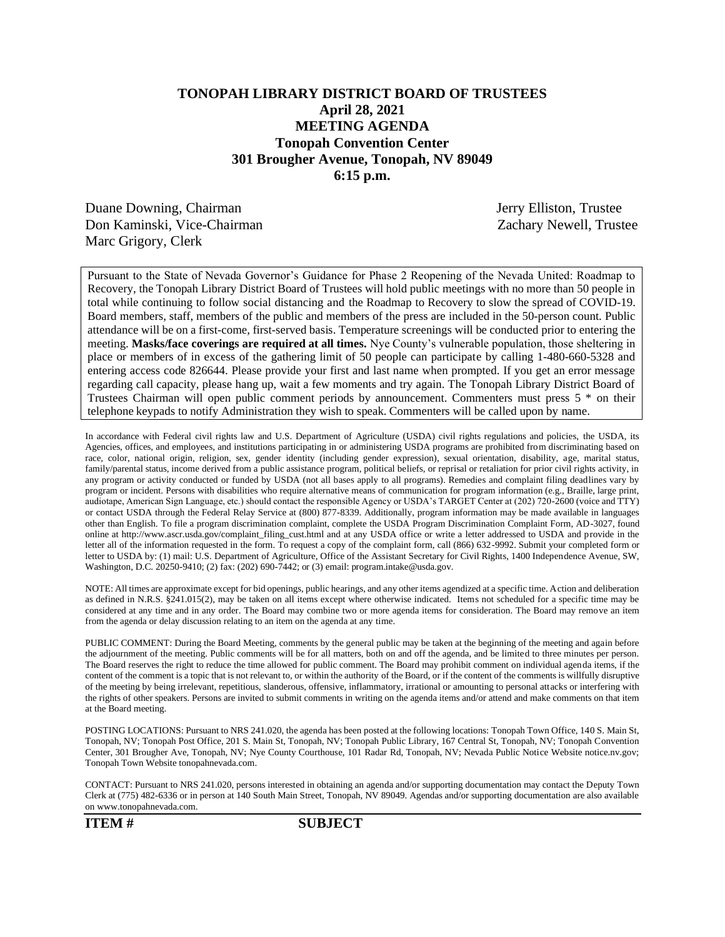# **TONOPAH LIBRARY DISTRICT BOARD OF TRUSTEES April 28, 2021 MEETING AGENDA Tonopah Convention Center 301 Brougher Avenue, Tonopah, NV 89049 6:15 p.m.**

Duane Downing, Chairman Jerry Elliston, Trustee Don Kaminski, Vice-Chairman Zachary Newell, Trustee Marc Grigory, Clerk

Pursuant to the State of Nevada Governor's Guidance for Phase 2 Reopening of the Nevada United: Roadmap to Recovery, the Tonopah Library District Board of Trustees will hold public meetings with no more than 50 people in total while continuing to follow social distancing and the Roadmap to Recovery to slow the spread of COVID-19. Board members, staff, members of the public and members of the press are included in the 50-person count. Public attendance will be on a first-come, first-served basis. Temperature screenings will be conducted prior to entering the meeting. **Masks/face coverings are required at all times.** Nye County's vulnerable population, those sheltering in place or members of in excess of the gathering limit of 50 people can participate by calling 1-480-660-5328 and entering access code 826644. Please provide your first and last name when prompted. If you get an error message regarding call capacity, please hang up, wait a few moments and try again. The Tonopah Library District Board of Trustees Chairman will open public comment periods by announcement. Commenters must press 5 \* on their telephone keypads to notify Administration they wish to speak. Commenters will be called upon by name.

In accordance with Federal civil rights law and U.S. Department of Agriculture (USDA) civil rights regulations and policies, the USDA, its Agencies, offices, and employees, and institutions participating in or administering USDA programs are prohibited from discriminating based on race, color, national origin, religion, sex, gender identity (including gender expression), sexual orientation, disability, age, marital status, family/parental status, income derived from a public assistance program, political beliefs, or reprisal or retaliation for prior civil rights activity, in any program or activity conducted or funded by USDA (not all bases apply to all programs). Remedies and complaint filing deadlines vary by program or incident. Persons with disabilities who require alternative means of communication for program information (e.g., Braille, large print, audiotape, American Sign Language, etc.) should contact the responsible Agency or USDA's TARGET Center at (202) 720-2600 (voice and TTY) or contact USDA through the Federal Relay Service at (800) 877-8339. Additionally, program information may be made available in languages other than English. To file a program discrimination complaint, complete the USDA Program Discrimination Complaint Form, AD-3027, found online at http://www.ascr.usda.gov/complaint\_filing\_cust.html and at any USDA office or write a letter addressed to USDA and provide in the letter all of the information requested in the form. To request a copy of the complaint form, call (866) 632-9992. Submit your completed form or letter to USDA by: (1) mail: U.S. Department of Agriculture, Office of the Assistant Secretary for Civil Rights, 1400 Independence Avenue, SW, Washington, D.C. 20250-9410; (2) fax: (202) 690-7442; or (3) email: program.intake@usda.gov.

NOTE: All times are approximate except for bid openings, public hearings, and any other items agendized at a specific time. Action and deliberation as defined in N.R.S. §241.015(2), may be taken on all items except where otherwise indicated. Items not scheduled for a specific time may be considered at any time and in any order. The Board may combine two or more agenda items for consideration. The Board may remove an item from the agenda or delay discussion relating to an item on the agenda at any time.

PUBLIC COMMENT: During the Board Meeting, comments by the general public may be taken at the beginning of the meeting and again before the adjournment of the meeting. Public comments will be for all matters, both on and off the agenda, and be limited to three minutes per person. The Board reserves the right to reduce the time allowed for public comment. The Board may prohibit comment on individual agenda items, if the content of the comment is a topic that is not relevant to, or within the authority of the Board, or if the content of the comments is willfully disruptive of the meeting by being irrelevant, repetitious, slanderous, offensive, inflammatory, irrational or amounting to personal attacks or interfering with the rights of other speakers. Persons are invited to submit comments in writing on the agenda items and/or attend and make comments on that item at the Board meeting.

POSTING LOCATIONS: Pursuant to NRS 241.020, the agenda has been posted at the following locations: Tonopah Town Office, 140 S. Main St, Tonopah, NV; Tonopah Post Office, 201 S. Main St, Tonopah, NV; Tonopah Public Library, 167 Central St, Tonopah, NV; Tonopah Convention Center, 301 Brougher Ave, Tonopah, NV; Nye County Courthouse, 101 Radar Rd, Tonopah, NV; Nevada Public Notice Website notice.nv.gov; Tonopah Town Website tonopahnevada.com.

CONTACT: Pursuant to NRS 241.020, persons interested in obtaining an agenda and/or supporting documentation may contact the Deputy Town Clerk at (775) 482-6336 or in person at 140 South Main Street, Tonopah, NV 89049. Agendas and/or supporting documentation are also available on www.tonopahnevada.com.